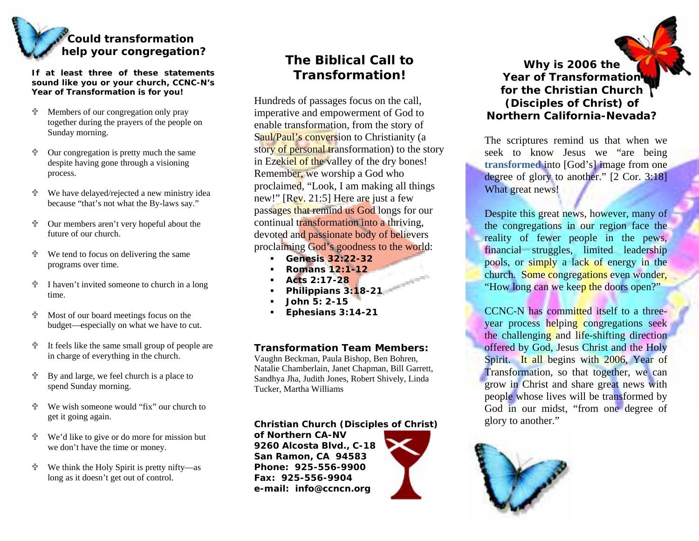

**If at least three of these statementssound like you or your church, CCNC-N's Year of Transformation is for you!** 

- **-** 十 Members of o ur congregation onl y pray toget her d uring the prayers of t he people on Sunday morning.
- 유 Our congregation is pretty m uch the samedes pite havi ng gone through a visioning process.
- 유 We have delayed/rejected a new ministry i dea because "that's not what the B y-laws say."
- 유 Our members aren't very ho peful about the future of our church.
- 유 We tend to focus on delivering the same programs over time.
- <u>ተ</u> I haven't i n vited so meone to church in a long time.
- 유 Most of our boar d meetings focus o n the budget—especially o n what we have to cut.
- 유 It feels like the same s mall grou p of people are in charge of e verything in the church.
- < By and large, we feel churc h is a place to spend Sunday morning.
- 4 We wish someone would "fix" o ur church toget it going again.
- <u>ተ</u> We' d like to give or do more for mission b ut we do <sup>n</sup>'t have the time or money.
- 유 We think the Holy Spirit is pretty nifty—as long as it doesn't ge<sup>t</sup> out of control.

# **The Biblical Call to Transformation!**

Hundreds of passages focus on the call, imperative and empowerment of God to enable transfor mation, from the story of Saul/Paul's conversion to Christianity (a sto<mark>ry of personal tr</mark>ansformation) to the story in Ezekiel of the valley of the dry bones! Remember, we worship a God who proclaimed, "Look, I am m aking all things new!" [Rev. 21:5] Here are just a few passages that remind us God longs for our continual transformation into a thriving, devoted and passionate body of believers proclaiming God's goodness to the world:

- $\mathbf{r}$ **Genesis 32:22-32**
- г **Romans 12:1-12**
- п **Acts 2:17-28**
- г **Philippians 3:18-21**
- Е **John 5: 2-15**
- г **Ephesians 3:14-21**

#### **Transformation Team Members:**

Vaughn Beckman, Paula Bishop, Ben Bohren, Natalie Chamberlain, Janet C hap man, Bill Garrett, Sandhya Jha, Judith Jones, Robert S hivel y, Linda Tucker, Martha Williams

#### **Christian Church (Disciples of Christ)**

**of Northern CA-NV 9260 Alcosta Blvd., C-18 San Ramon, CA 94583 Phone: 925-556-9900Fax: 925-556-9904e-mail: info@ccncn.org**



**Why is 2006 the Year of Transformation for the Christian Church (Disciples of Christ) of Northern California-Nevada?** 

The scriptures remind us that when we seek to know Jesus we "are being **transformed** into [God's] image from one degree of glory to another." [2 Cor. 3:18] What great news!

Despite this great news, however, many of the congregations in our region face the reality of fewer people in the pews, financial struggles, limited leadership pools, or simply a lack of energy in the church. Some congregations even wonder, "How long can we keep the doors open?"

CCNC-N has committed itself to a threeyear process helping congregations seek the challenging and life-shifting direction offered by God, Jesus Christ and the Holy Spirit. It all begins with 2006, Year of Transform ation, so that together, we can grow in Christ and share great news with people whose lives will be transform ed by God in our midst, "from one degree of glory to another."